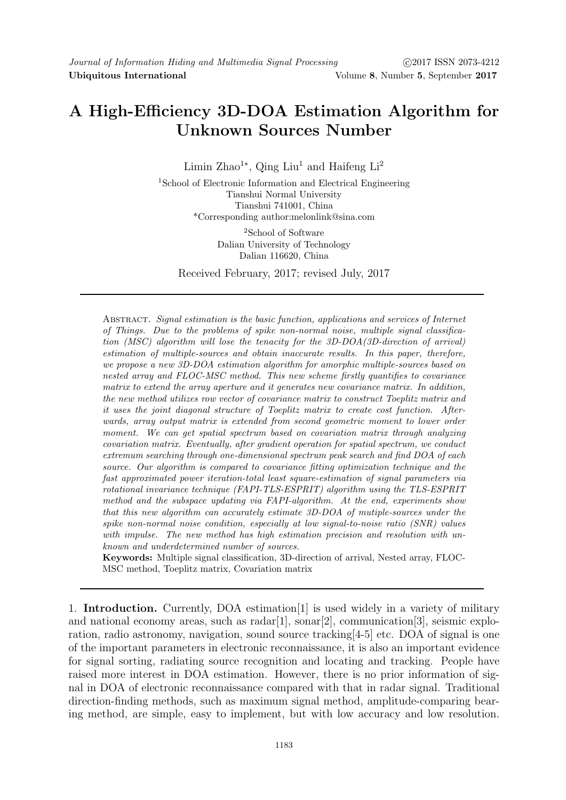# A High-Efficiency 3D-DOA Estimation Algorithm for Unknown Sources Number

Limin Zhao<sup>1</sup><sup>\*</sup>, Qing Liu<sup>1</sup> and Haifeng Li<sup>2</sup>

<sup>1</sup>School of Electronic Information and Electrical Engineering Tianshui Normal University Tianshui 741001, China \*Corresponding author:melonlink@sina.com

> <sup>2</sup>School of Software Dalian University of Technology Dalian 116620, China

Received February, 2017; revised July, 2017

Abstract. Signal estimation is the basic function, applications and services of Internet of Things. Due to the problems of spike non-normal noise, multiple signal classification (MSC) algorithm will lose the tenacity for the 3D-DOA(3D-direction of arrival) estimation of multiple-sources and obtain inaccurate results. In this paper, therefore, we propose a new 3D-DOA estimation algorithm for amorphic multiple-sources based on nested array and FLOC-MSC method. This new scheme firstly quantifies to covariance matrix to extend the array aperture and it generates new covariance matrix. In addition, the new method utilizes row vector of covariance matrix to construct Toeplitz matrix and it uses the joint diagonal structure of Toeplitz matrix to create cost function. Afterwards, array output matrix is extended from second geometric moment to lower order moment. We can get spatial spectrum based on covariation matrix through analyzing covariation matrix. Eventually, after gradient operation for spatial spectrum, we conduct extremum searching through one-dimensional spectrum peak search and find DOA of each source. Our algorithm is compared to covariance fitting optimization technique and the fast approximated power iteration-total least square-estimation of signal parameters via rotational invariance technique (FAPI-TLS-ESPRIT) algorithm using the TLS-ESPRIT method and the subspace updating via FAPI-algorithm. At the end, experiments show that this new algorithm can accurately estimate 3D-DOA of mutiple-sources under the spike non-normal noise condition, especially at low signal-to-noise ratio (SNR) values with impulse. The new method has high estimation precision and resolution with unknown and underdetermined number of sources.

Keywords: Multiple signal classification, 3D-direction of arrival, Nested array, FLOC-MSC method, Toeplitz matrix, Covariation matrix

1. Introduction. Currently, DOA estimation[1] is used widely in a variety of military and national economy areas, such as  $radar[1]$ , sonar $[2]$ , communication[3], seismic exploration, radio astronomy, navigation, sound source tracking[4-5] etc. DOA of signal is one of the important parameters in electronic reconnaissance, it is also an important evidence for signal sorting, radiating source recognition and locating and tracking. People have raised more interest in DOA estimation. However, there is no prior information of signal in DOA of electronic reconnaissance compared with that in radar signal. Traditional direction-finding methods, such as maximum signal method, amplitude-comparing bearing method, are simple, easy to implement, but with low accuracy and low resolution.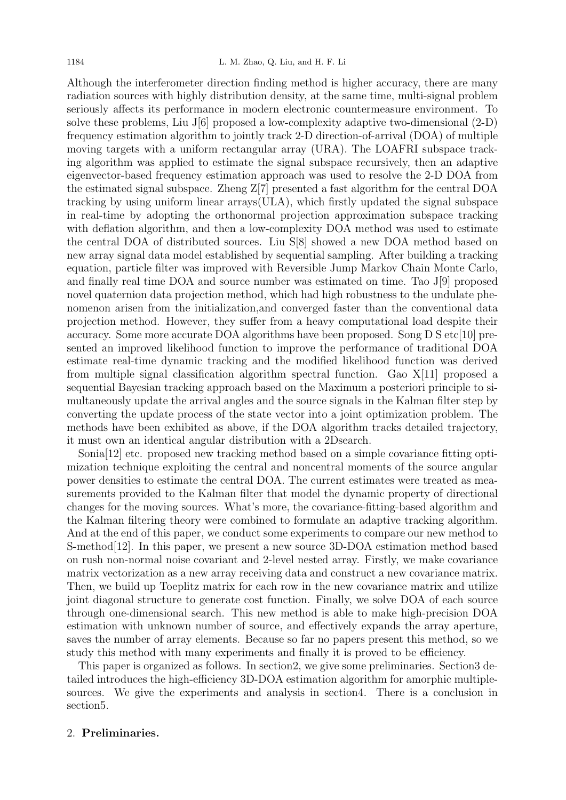Although the interferometer direction finding method is higher accuracy, there are many radiation sources with highly distribution density, at the same time, multi-signal problem seriously affects its performance in modern electronic countermeasure environment. To solve these problems, Liu J[6] proposed a low-complexity adaptive two-dimensional (2-D) frequency estimation algorithm to jointly track 2-D direction-of-arrival (DOA) of multiple moving targets with a uniform rectangular array (URA). The LOAFRI subspace tracking algorithm was applied to estimate the signal subspace recursively, then an adaptive eigenvector-based frequency estimation approach was used to resolve the 2-D DOA from the estimated signal subspace. Zheng Z[7] presented a fast algorithm for the central DOA tracking by using uniform linear arrays(ULA), which firstly updated the signal subspace in real-time by adopting the orthonormal projection approximation subspace tracking with deflation algorithm, and then a low-complexity DOA method was used to estimate the central DOA of distributed sources. Liu S[8] showed a new DOA method based on new array signal data model established by sequential sampling. After building a tracking equation, particle filter was improved with Reversible Jump Markov Chain Monte Carlo, and finally real time DOA and source number was estimated on time. Tao J[9] proposed novel quaternion data projection method, which had high robustness to the undulate phenomenon arisen from the initialization,and converged faster than the conventional data projection method. However, they suffer from a heavy computational load despite their accuracy. Some more accurate DOA algorithms have been proposed. Song D S etc[10] presented an improved likelihood function to improve the performance of traditional DOA estimate real-time dynamic tracking and the modified likelihood function was derived from multiple signal classification algorithm spectral function. Gao X[11] proposed a sequential Bayesian tracking approach based on the Maximum a posteriori principle to simultaneously update the arrival angles and the source signals in the Kalman filter step by converting the update process of the state vector into a joint optimization problem. The methods have been exhibited as above, if the DOA algorithm tracks detailed trajectory, it must own an identical angular distribution with a 2Dsearch.

Sonia[12] etc. proposed new tracking method based on a simple covariance fitting optimization technique exploiting the central and noncentral moments of the source angular power densities to estimate the central DOA. The current estimates were treated as measurements provided to the Kalman filter that model the dynamic property of directional changes for the moving sources. What's more, the covariance-fitting-based algorithm and the Kalman filtering theory were combined to formulate an adaptive tracking algorithm. And at the end of this paper, we conduct some experiments to compare our new method to S-method[12]. In this paper, we present a new source 3D-DOA estimation method based on rush non-normal noise covariant and 2-level nested array. Firstly, we make covariance matrix vectorization as a new array receiving data and construct a new covariance matrix. Then, we build up Toeplitz matrix for each row in the new covariance matrix and utilize joint diagonal structure to generate cost function. Finally, we solve DOA of each source through one-dimensional search. This new method is able to make high-precision DOA estimation with unknown number of source, and effectively expands the array aperture, saves the number of array elements. Because so far no papers present this method, so we study this method with many experiments and finally it is proved to be efficiency.

This paper is organized as follows. In section2, we give some preliminaries. Section3 detailed introduces the high-efficiency 3D-DOA estimation algorithm for amorphic multiplesources. We give the experiments and analysis in section4. There is a conclusion in section5.

## 2. Preliminaries.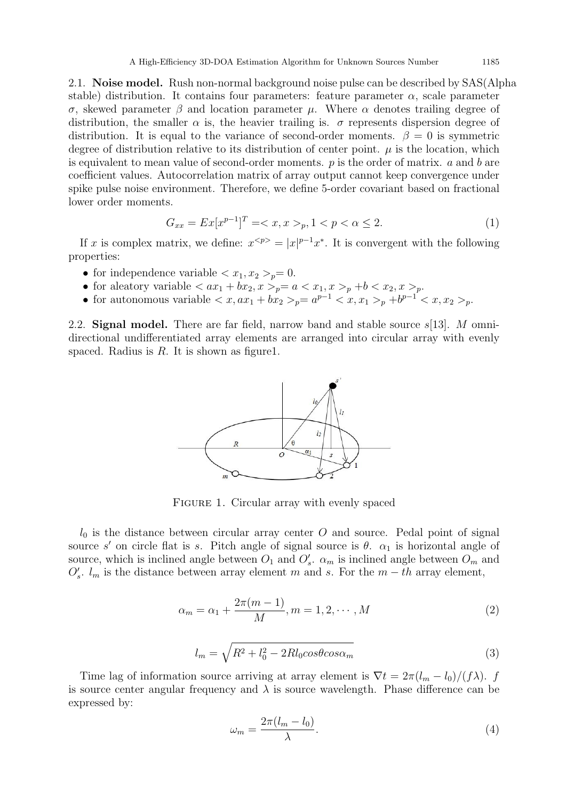2.1. Noise model. Rush non-normal background noise pulse can be described by SAS(Alpha stable) distribution. It contains four parameters: feature parameter  $\alpha$ , scale parameter σ, skewed parameter β and location parameter µ. Where α denotes trailing degree of distribution, the smaller  $\alpha$  is, the heavier trailing is.  $\sigma$  represents dispersion degree of distribution. It is equal to the variance of second-order moments.  $\beta = 0$  is symmetric degree of distribution relative to its distribution of center point.  $\mu$  is the location, which is equivalent to mean value of second-order moments. p is the order of matrix. a and b are coefficient values. Autocorrelation matrix of array output cannot keep convergence under spike pulse noise environment. Therefore, we define 5-order covariant based on fractional lower order moments.

$$
G_{xx} = Ex[x^{p-1}]^T = \langle x, x \rangle_p, 1 \langle p \langle \alpha \le 2. \tag{1}
$$

If x is complex matrix, we define:  $x^{} = |x|^{p-1}x^*$ . It is convergent with the following properties:

- for independence variable  $\langle x_1, x_2 \rangle_p = 0$ .
- for a<br>leatory variable  $\langle ax_1 + bx_2, x \rangle_p = a \langle x_1, x \rangle_p + b \langle x_2, x \rangle_p.$
- for autonomous variable  $\langle x, ax_1 + bx_2 \rangle_p = a^{p-1} \langle x, x_1 \rangle_p + b^{p-1} \langle x, x_2 \rangle_p$ .

2.2. Signal model. There are far field, narrow band and stable source  $s[13]$ . M omnidirectional undifferentiated array elements are arranged into circular array with evenly spaced. Radius is  $R$ . It is shown as figure1.



FIGURE 1. Circular array with evenly spaced

 $l_0$  is the distance between circular array center O and source. Pedal point of signal source s' on circle flat is s. Pitch angle of signal source is  $\theta$ .  $\alpha_1$  is horizontal angle of source, which is inclined angle between  $O_1$  and  $O'_s$ .  $\alpha_m$  is inclined angle between  $O_m$  and  $O'_s$ .  $l_m$  is the distance between array element m and s. For the  $m-th$  array element,

$$
\alpha_m = \alpha_1 + \frac{2\pi(m-1)}{M}, m = 1, 2, \cdots, M
$$
 (2)

$$
l_m = \sqrt{R^2 + l_0^2 - 2Rl_0 \cos\theta \cos\alpha_m} \tag{3}
$$

Time lag of information source arriving at array element is  $\nabla t = 2\pi (l_m - l_0)/(f\lambda)$ . f is source center angular frequency and  $\lambda$  is source wavelength. Phase difference can be expressed by:

$$
\omega_m = \frac{2\pi (l_m - l_0)}{\lambda}.\tag{4}
$$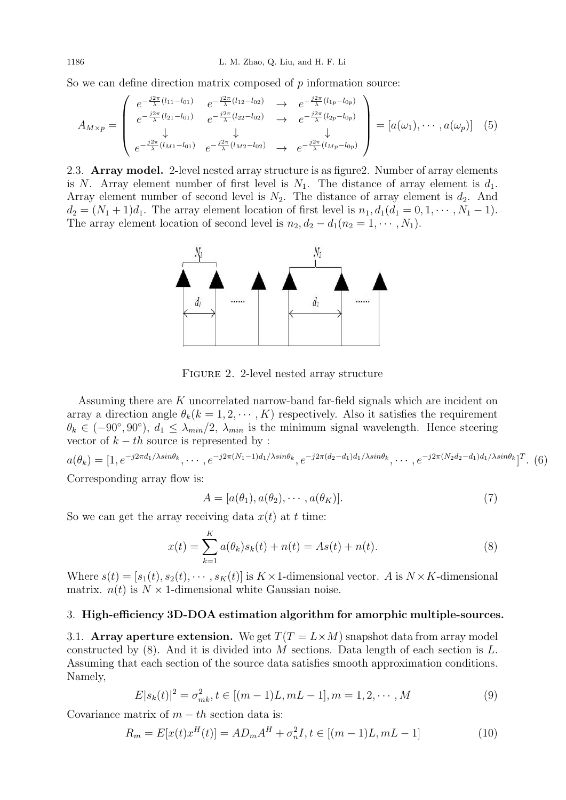So we can define direction matrix composed of  $p$  information source:

$$
A_{M \times p} = \begin{pmatrix} e^{-\frac{j2\pi}{\lambda}(l_{11}-l_{01})} & e^{-\frac{j2\pi}{\lambda}(l_{12}-l_{02})} & \to & e^{-\frac{j2\pi}{\lambda}(l_{1p}-l_{0p})} \\ e^{-\frac{j2\pi}{\lambda}(l_{21}-l_{01})} & e^{-\frac{j2\pi}{\lambda}(l_{22}-l_{02})} & \to & e^{-\frac{j2\pi}{\lambda}(l_{2p}-l_{0p})} \\ \downarrow & \downarrow & \downarrow \\ e^{-\frac{j2\pi}{\lambda}(l_{M1}-l_{01})} & e^{-\frac{j2\pi}{\lambda}(l_{M2}-l_{02})} & \to & e^{-\frac{j2\pi}{\lambda}(l_{Mp}-l_{0p})} \end{pmatrix} = [a(\omega_1), \cdots, a(\omega_p)] \quad (5)
$$

2.3. Array model. 2-level nested array structure is as figure2. Number of array elements is N. Array element number of first level is  $N_1$ . The distance of array element is  $d_1$ . Array element number of second level is  $N_2$ . The distance of array element is  $d_2$ . And  $d_2 = (N_1 + 1)d_1$ . The array element location of first level is  $n_1, d_1(d_1 = 0, 1, \dots, N_1 - 1)$ . The array element location of second level is  $n_2, d_2 - d_1(n_2 = 1, \dots, N_1)$ .



Figure 2. 2-level nested array structure

Assuming there are K uncorrelated narrow-band far-field signals which are incident on array a direction angle  $\theta_k(k = 1, 2, \dots, K)$  respectively. Also it satisfies the requirement  $\theta_k \in (-90^{\circ}, 90^{\circ}), d_1 \leq \lambda_{min}/2, \lambda_{min}$  is the minimum signal wavelength. Hence steering vector of  $k - th$  source is represented by :

 $a(\theta_k) = [1, e^{-j2\pi d_1/\lambda sin\theta_k}, \cdots, e^{-j2\pi(N_1-1)d_1/\lambda sin\theta_k}, e^{-j2\pi(d_2-d_1)d_1/\lambda sin\theta_k}, \cdots, e^{-j2\pi(N_2d_2-d_1)d_1/\lambda sin\theta_k}]^T$ . (6)

Corresponding array flow is:

$$
A = [a(\theta_1), a(\theta_2), \cdots, a(\theta_K)].
$$
\n(7)

So we can get the array receiving data  $x(t)$  at t time:

$$
x(t) = \sum_{k=1}^{K} a(\theta_k) s_k(t) + n(t) = As(t) + n(t).
$$
 (8)

Where  $s(t) = [s_1(t), s_2(t), \cdots, s_K(t)]$  is  $K \times 1$ -dimensional vector. A is  $N \times K$ -dimensional matrix.  $n(t)$  is  $N \times 1$ -dimensional white Gaussian noise.

### 3. High-efficiency 3D-DOA estimation algorithm for amorphic multiple-sources.

3.1. Array aperture extension. We get  $T(T = L \times M)$  snapshot data from array model constructed by  $(8)$ . And it is divided into M sections. Data length of each section is L. Assuming that each section of the source data satisfies smooth approximation conditions. Namely,

$$
E|s_k(t)|^2 = \sigma_{mk}^2, t \in [(m-1)L, mL-1], m = 1, 2, \cdots, M
$$
\n(9)

Covariance matrix of  $m - th$  section data is:

$$
R_m = E[x(t)x^H(t)] = AD_mA^H + \sigma_n^2 I, t \in [(m-1)L, mL-1]
$$
\n(10)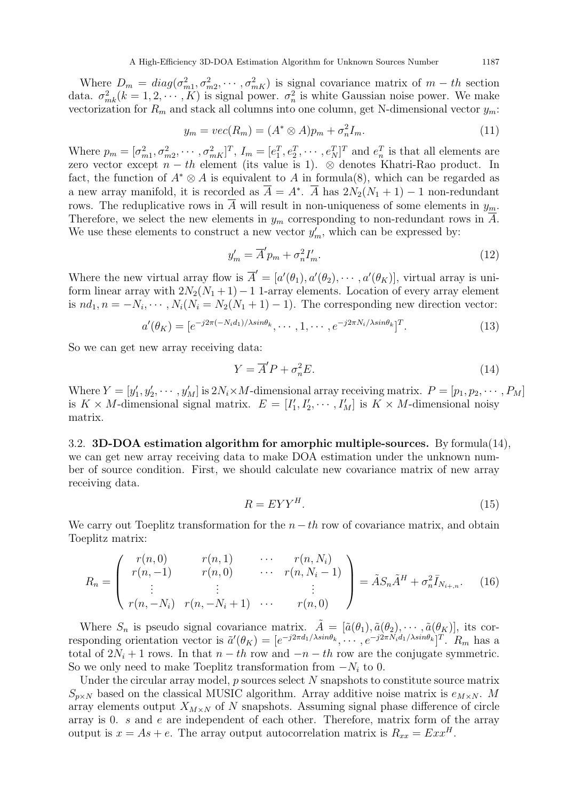Where  $D_m = diag(\sigma_{m1}^2, \sigma_{m2}^2, \cdots, \sigma_{mK}^2)$  is signal covariance matrix of  $m-th$  section data.  $\sigma_{mk}^2(k=1,2,\dots,K)$  is signal power.  $\sigma_n^2$  is white Gaussian noise power. We make vectorization for  $R_m$  and stack all columns into one column, get N-dimensional vector  $y_m$ :

$$
y_m = vec(R_m) = (A^* \otimes A)p_m + \sigma_n^2 I_m.
$$
\n(11)

Where  $p_m = [\sigma_{m1}^2, \sigma_{m2}^2, \cdots, \sigma_{mK}^2]^T$ ,  $I_m = [e_1^T, e_2^T, \cdots, e_N^T]^T$  and  $e_n^T$  is that all elements are zero vector except  $n - th$  element (its value is 1). ⊗ denotes Khatri-Rao product. In fact, the function of  $A^* \otimes A$  is equivalent to A in formula(8), which can be regarded as a new array manifold, it is recorded as  $\overline{A} = A^*$ .  $\overline{A}$  has  $2N_2(N_1 + 1) - 1$  non-redundant rows. The reduplicative rows in  $\overline{A}$  will result in non-uniqueness of some elements in  $y_m$ . Therefore, we select the new elements in  $y_m$  corresponding to non-redundant rows in A. We use these elements to construct a new vector  $y'_m$ , which can be expressed by:

$$
y'_m = \overline{A}' p_m + \sigma_n^2 I'_m. \tag{12}
$$

Where the new virtual array flow is  $\overline{A}' = [a'(\theta_1), a'(\theta_2), \cdots, a'(\theta_K)],$  virtual array is uniform linear array with  $2N_2(N_1+1)-1$  1-array elements. Location of every array element is  $nd_1, n = -N_i, \cdots, N_i(N_i = N_2(N_1 + 1) - 1)$ . The corresponding new direction vector:

$$
a'(\theta_K) = [e^{-j2\pi(-N_i d_1)/\lambda \sin \theta_k}, \cdots, 1, \cdots, e^{-j2\pi N_i/\lambda \sin \theta_k}]^T.
$$
 (13)

So we can get new array receiving data:

$$
Y = \overline{A}'P + \sigma_n^2 E. \tag{14}
$$

Where  $Y = [y'_1, y'_2, \cdots, y'_M]$  is  $2N_i \times M$ -dimensional array receiving matrix.  $P = [p_1, p_2, \cdots, p_M]$ is  $K \times M$ -dimensional signal matrix.  $E = [I'_1, I'_2, \cdots, I'_M]$  is  $K \times M$ -dimensional noisy matrix.

3.2. 3D-DOA estimation algorithm for amorphic multiple-sources. By formula(14), we can get new array receiving data to make DOA estimation under the unknown number of source condition. First, we should calculate new covariance matrix of new array receiving data.

$$
R = EYY^H. \tag{15}
$$

We carry out Toeplitz transformation for the  $n - th$  row of covariance matrix, and obtain Toeplitz matrix:

$$
R_n = \begin{pmatrix} r(n,0) & r(n,1) & \cdots & r(n,N_i) \\ r(n,-1) & r(n,0) & \cdots & r(n,N_i-1) \\ \vdots & \vdots & & \vdots \\ r(n,-N_i) & r(n,-N_i+1) & \cdots & r(n,0) \end{pmatrix} = \tilde{A}S_n\tilde{A}^H + \sigma_n^2\bar{I}_{N_{i+n}}.\tag{16}
$$

Where  $S_n$  is pseudo signal covariance matrix.  $\tilde{A} = [\tilde{a}(\theta_1), \tilde{a}(\theta_2), \cdots, \tilde{a}(\theta_K)],$  its corresponding orientation vector is  $\tilde{a}'(\theta_K) = [e^{-j2\pi d_1/\lambda sin\theta_k}, \cdots, e^{-j2\pi N_i d_1/\lambda sin\theta_k}]^T$ .  $R_m$  has a total of  $2N_i + 1$  rows. In that  $n - th$  row and  $-n - th$  row are the conjugate symmetric. So we only need to make Toeplitz transformation from  $-N_i$  to 0.

Under the circular array model,  $p$  sources select  $N$  snapshots to constitute source matrix  $S_{p\times N}$  based on the classical MUSIC algorithm. Array additive noise matrix is  $e_{M\times N}$ . M array elements output  $X_{M\times N}$  of N snapshots. Assuming signal phase difference of circle array is 0. s and e are independent of each other. Therefore, matrix form of the array output is  $x = As + e$ . The array output autocorrelation matrix is  $R_{xx} = Exx^H$ .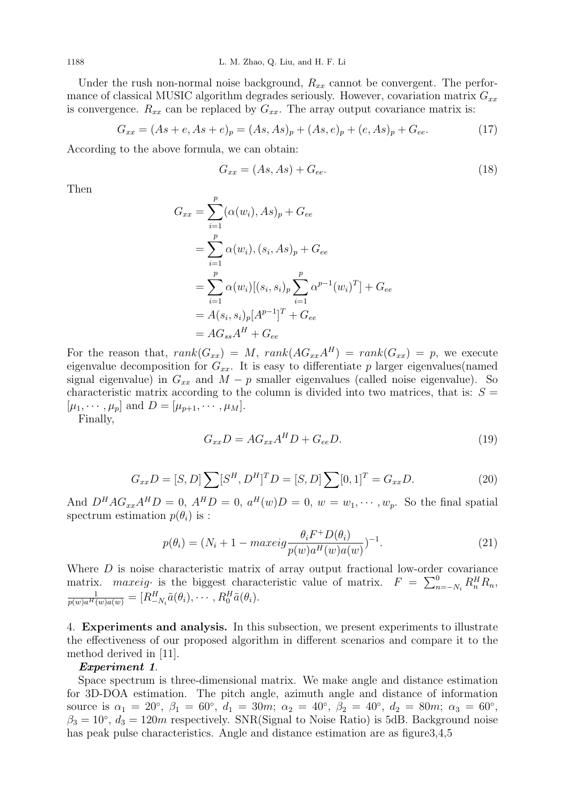Under the rush non-normal noise background,  $R_{xx}$  cannot be convergent. The performance of classical MUSIC algorithm degrades seriously. However, covariation matrix  $G_{xx}$ is convergence.  $R_{xx}$  can be replaced by  $G_{xx}$ . The array output covariance matrix is:

$$
G_{xx} = (As + e, As + e)_p = (As, As)_p + (As, e)_p + (e, As)_p + G_{ee}.
$$
 (17)

According to the above formula, we can obtain:

$$
G_{xx} = (As, As) + G_{ee}.\tag{18}
$$

Then

$$
G_{xx} = \sum_{i=1}^{p} (\alpha(w_i), As)_p + G_{ee}
$$
  
= 
$$
\sum_{i=1}^{p} \alpha(w_i), (s_i, As)_p + G_{ee}
$$
  
= 
$$
\sum_{i=1}^{p} \alpha(w_i)[(s_i, s_i)_p \sum_{i=1}^{p} \alpha^{p-1}(w_i)^T] + G_{ee}
$$
  
= 
$$
A(s_i, s_i)_p [A^{p-1}]^T + G_{ee}
$$
  
= 
$$
AG_{ss}A^H + G_{ee}
$$

For the reason that,  $rank(G_{xx}) = M$ ,  $rank(AG_{xx}A^H) = rank(G_{xx}) = p$ , we execute eigenvalue decomposition for  $G_{xx}$ . It is easy to differentiate p larger eigenvalues(named signal eigenvalue) in  $G_{xx}$  and  $M - p$  smaller eigenvalues (called noise eigenvalue). So characteristic matrix according to the column is divided into two matrices, that is:  $S =$  $[\mu_1, \cdots, \mu_p]$  and  $D = [\mu_{p+1}, \cdots, \mu_M].$ 

Finally,

$$
G_{xx}D = AG_{xx}A^H D + G_{ee}D.
$$
\n(19)

$$
G_{xx}D = [S, D] \sum [S^H, D^H]^T D = [S, D] \sum [0, 1]^T = G_{xx}D.
$$
\n(20)

And  $D^H A G_{xx} A^H D = 0$ ,  $A^H D = 0$ ,  $a^H(w) D = 0$ ,  $w = w_1, \dots, w_p$ . So the final spatial spectrum estimation  $p(\theta_i)$  is :

$$
p(\theta_i) = (N_i + 1 - \max \text{eig}\frac{\theta_i F^+ D(\theta_i)}{p(w)a^H(w)a(w)})^{-1}.
$$
\n
$$
(21)
$$

Where  $D$  is noise characteristic matrix of array output fractional low-order covariance matrix. *maxeig* is the biggest characteristic value of matrix.  $F = \sum_{n=-N_i}^{0} R_n^H R_n$ ,  $\frac{1}{p(w)a^{H}(w)a(w)}=[R^{H}_{-N_i}\tilde{a}(\theta_i),\cdots,R^{H}_{0}\tilde{a}(\theta_i).$ 

4. Experiments and analysis. In this subsection, we present experiments to illustrate the effectiveness of our proposed algorithm in different scenarios and compare it to the method derived in [11].

### Experiment 1.

Space spectrum is three-dimensional matrix. We make angle and distance estimation for 3D-DOA estimation. The pitch angle, azimuth angle and distance of information source is  $\alpha_1 = 20^{\circ}$ ,  $\beta_1 = 60^{\circ}$ ,  $d_1 = 30m$ ;  $\alpha_2 = 40^{\circ}$ ,  $\beta_2 = 40^{\circ}$ ,  $d_2 = 80m$ ;  $\alpha_3 = 60^{\circ}$ ,  $\beta_3 = 10^{\circ}$ ,  $d_3 = 120m$  respectively. SNR(Signal to Noise Ratio) is 5dB. Background noise has peak pulse characteristics. Angle and distance estimation are as figure 3,4,5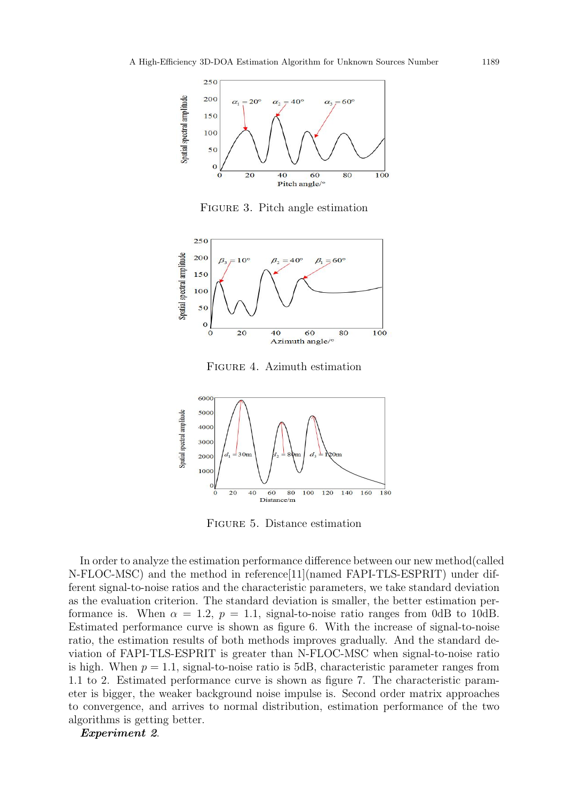

Figure 3. Pitch angle estimation



Figure 4. Azimuth estimation



Figure 5. Distance estimation

In order to analyze the estimation performance difference between our new method(called N-FLOC-MSC) and the method in reference[11](named FAPI-TLS-ESPRIT) under different signal-to-noise ratios and the characteristic parameters, we take standard deviation as the evaluation criterion. The standard deviation is smaller, the better estimation performance is. When  $\alpha = 1.2$ ,  $p = 1.1$ , signal-to-noise ratio ranges from 0dB to 10dB. Estimated performance curve is shown as figure 6. With the increase of signal-to-noise ratio, the estimation results of both methods improves gradually. And the standard deviation of FAPI-TLS-ESPRIT is greater than N-FLOC-MSC when signal-to-noise ratio is high. When  $p = 1.1$ , signal-to-noise ratio is 5dB, characteristic parameter ranges from 1.1 to 2. Estimated performance curve is shown as figure 7. The characteristic parameter is bigger, the weaker background noise impulse is. Second order matrix approaches to convergence, and arrives to normal distribution, estimation performance of the two algorithms is getting better.

Experiment 2.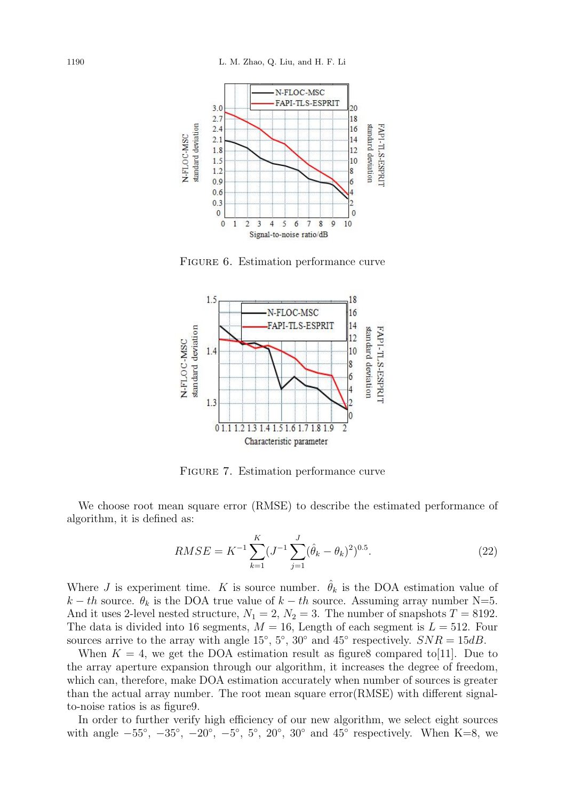

FIGURE 6. Estimation performance curve



Figure 7. Estimation performance curve

We choose root mean square error (RMSE) to describe the estimated performance of algorithm, it is defined as:

$$
RMSE = K^{-1} \sum_{k=1}^{K} (J^{-1} \sum_{j=1}^{J} (\hat{\theta}_k - \theta_k)^2)^{0.5}.
$$
 (22)

Where J is experiment time. K is source number.  $\hat{\theta}_k$  is the DOA estimation value of k – th source.  $\theta_k$  is the DOA true value of  $k - th$  source. Assuming array number N=5. And it uses 2-level nested structure,  $N_1 = 2$ ,  $N_2 = 3$ . The number of snapshots  $T = 8192$ . The data is divided into 16 segments,  $M = 16$ , Length of each segment is  $L = 512$ . Four sources arrive to the array with angle  $15^{\circ}$ ,  $5^{\circ}$ ,  $30^{\circ}$  and  $45^{\circ}$  respectively.  $SNR = 15dB$ .

When  $K = 4$ , we get the DOA estimation result as figure8 compared to [11]. Due to the array aperture expansion through our algorithm, it increases the degree of freedom, which can, therefore, make DOA estimation accurately when number of sources is greater than the actual array number. The root mean square error(RMSE) with different signalto-noise ratios is as figure9.

In order to further verify high efficiency of our new algorithm, we select eight sources with angle  $-55^\circ$ ,  $-35^\circ$ ,  $-20^\circ$ ,  $-5^\circ$ ,  $5^\circ$ ,  $20^\circ$ ,  $30^\circ$  and  $45^\circ$  respectively. When K=8, we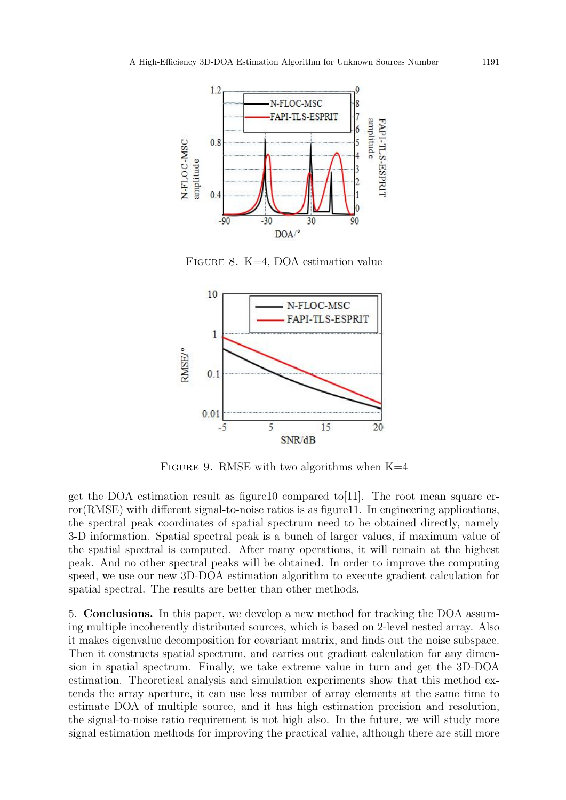

Figure 8. K=4, DOA estimation value



FIGURE 9. RMSE with two algorithms when  $K=4$ 

get the DOA estimation result as figure10 compared to [11]. The root mean square error(RMSE) with different signal-to-noise ratios is as figure11. In engineering applications, the spectral peak coordinates of spatial spectrum need to be obtained directly, namely 3-D information. Spatial spectral peak is a bunch of larger values, if maximum value of the spatial spectral is computed. After many operations, it will remain at the highest peak. And no other spectral peaks will be obtained. In order to improve the computing speed, we use our new 3D-DOA estimation algorithm to execute gradient calculation for spatial spectral. The results are better than other methods.

5. Conclusions. In this paper, we develop a new method for tracking the DOA assuming multiple incoherently distributed sources, which is based on 2-level nested array. Also it makes eigenvalue decomposition for covariant matrix, and finds out the noise subspace. Then it constructs spatial spectrum, and carries out gradient calculation for any dimension in spatial spectrum. Finally, we take extreme value in turn and get the 3D-DOA estimation. Theoretical analysis and simulation experiments show that this method extends the array aperture, it can use less number of array elements at the same time to estimate DOA of multiple source, and it has high estimation precision and resolution, the signal-to-noise ratio requirement is not high also. In the future, we will study more signal estimation methods for improving the practical value, although there are still more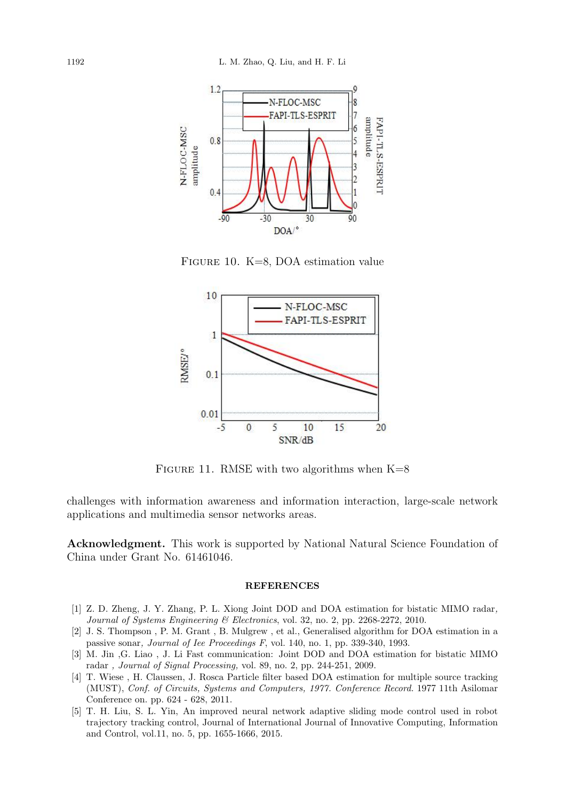

Figure 10. K=8, DOA estimation value



FIGURE 11. RMSE with two algorithms when  $K=8$ 

challenges with information awareness and information interaction, large-scale network applications and multimedia sensor networks areas.

Acknowledgment. This work is supported by National Natural Science Foundation of China under Grant No. 61461046.

#### REFERENCES

- [1] Z. D. Zheng, J. Y. Zhang, P. L. Xiong Joint DOD and DOA estimation for bistatic MIMO radar, Journal of Systems Engineering & Electronics, vol. 32, no. 2, pp. 2268-2272, 2010.
- [2] J. S. Thompson , P. M. Grant , B. Mulgrew , et al., Generalised algorithm for DOA estimation in a passive sonar, Journal of Iee Proceedings F, vol. 140, no. 1, pp. 339-340, 1993.
- [3] M. Jin ,G. Liao , J. Li Fast communication: Joint DOD and DOA estimation for bistatic MIMO radar , Journal of Signal Processing, vol. 89, no. 2, pp. 244-251, 2009.
- [4] T. Wiese , H. Claussen, J. Rosca Particle filter based DOA estimation for multiple source tracking (MUST), Conf. of Circuits, Systems and Computers, 1977. Conference Record. 1977 11th Asilomar Conference on. pp. 624 - 628, 2011.
- [5] T. H. Liu, S. L. Yin, An improved neural network adaptive sliding mode control used in robot trajectory tracking control, Journal of International Journal of Innovative Computing, Information and Control, vol.11, no. 5, pp. 1655-1666, 2015.